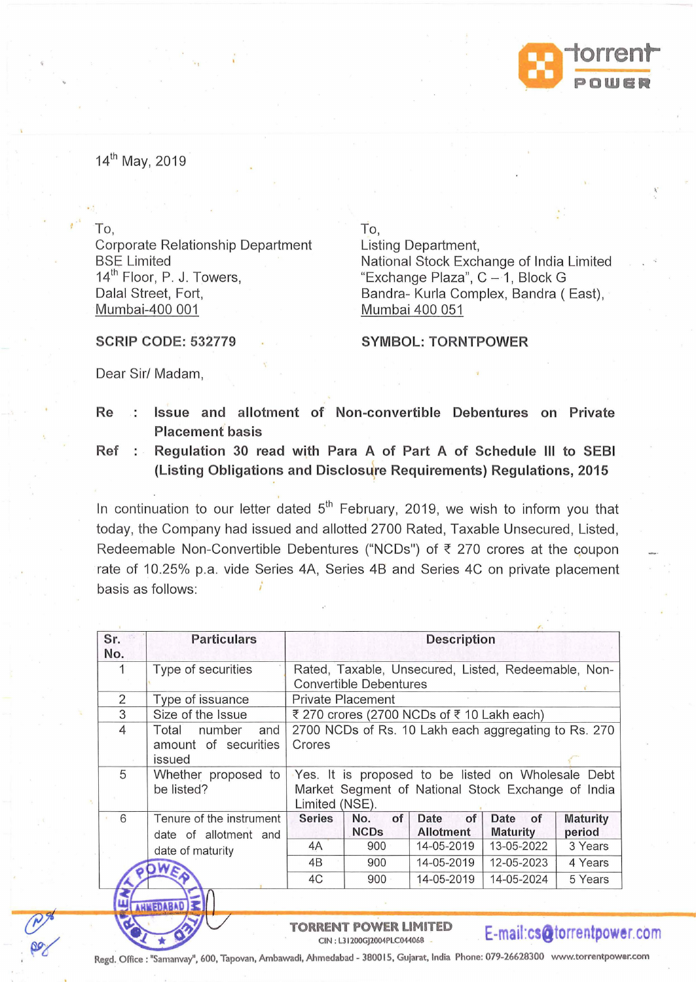

14th May, 2019

Corporate Relationship Department BSE Limited 14<sup>th</sup> Floor, P. J. Towers, Dalal Street, Fort, Mumbai-400 001

To, To, Listing Department, National Stock Exchange of India Limited "Exchange Plaza", C- 1, Block G Bandra- Kurla Complex, Bandra (East), Mumbai 400 051

## SYMBOL: TORNTPOWER

Dear Sir/ Madam,

SCRIP CODE: 532779

- Re : Issue and allotment of Non-convertible Debentures on Private Placement basis
- Ref : Regulation 30 read with Para A of Part A of Schedule III to SEBI (Listing Obligations and Disclosure Requirements) Regulations, 2015 '

In continuation to our letter dated 5<sup>th</sup> February, 2019, we wish to inform you that today, the Company had issued and allotted 2700 Rated, Taxable Unsecured, Listed, Redeemable Non-Convertible Debentures ("NCDs") of  $\bar{\tau}$  270 crores at the coupon rate of 10.25% p.a. vide Series 4A, Series 4B and Series 4C on private placement basis as follows:

| Sr.<br>No.        | <b>Particulars</b>                                       | <b>Description</b>                                                                                                         |                                                     |                                |                               |                            |  |  |  |
|-------------------|----------------------------------------------------------|----------------------------------------------------------------------------------------------------------------------------|-----------------------------------------------------|--------------------------------|-------------------------------|----------------------------|--|--|--|
|                   | Type of securities                                       | Rated, Taxable, Unsecured, Listed, Redeemable, Non-<br><b>Convertible Debentures</b>                                       |                                                     |                                |                               |                            |  |  |  |
| $\overline{2}$    | Type of issuance                                         | <b>Private Placement</b>                                                                                                   |                                                     |                                |                               |                            |  |  |  |
| 3                 | Size of the Issue                                        | ₹ 270 crores (2700 NCDs of ₹ 10 Lakh each)                                                                                 |                                                     |                                |                               |                            |  |  |  |
| $\overline{4}$    | Total<br>number<br>and<br>amount of securities<br>issued | 2700 NCDs of Rs. 10 Lakh each aggregating to Rs. 270<br>Crores                                                             |                                                     |                                |                               |                            |  |  |  |
| 5                 | Whether proposed to<br>be listed?                        | Yes. It is proposed to be listed on Wholesale Debt<br>Market Segment of National Stock Exchange of India<br>Limited (NSE). |                                                     |                                |                               |                            |  |  |  |
| 6<br>$\mathbf{r}$ | Tenure of the instrument<br>date of allotment and        | <b>Series</b>                                                                                                              | of<br>No.<br><b>NCDs</b>                            | of<br>Date<br><b>Allotment</b> | Date<br>of<br><b>Maturity</b> | <b>Maturity</b><br>period  |  |  |  |
|                   | date of maturity                                         | 4A                                                                                                                         | 900                                                 | 14-05-2019                     | 13-05-2022                    | 3 Years                    |  |  |  |
|                   |                                                          | 4B                                                                                                                         | 900                                                 | 14-05-2019                     | 12-05-2023                    | 4 Years                    |  |  |  |
|                   |                                                          | 4C                                                                                                                         | 900                                                 | 14-05-2019                     | 14-05-2024                    | 5 Years                    |  |  |  |
|                   |                                                          |                                                                                                                            |                                                     |                                |                               |                            |  |  |  |
|                   |                                                          |                                                                                                                            | TORRENT POWER LIMITED<br>CIN: L31200GJ2004PLC044068 |                                |                               | E-mail:cs@torrentpower.com |  |  |  |



-

Regd. Office: "Samanvay'', 600, Tapovan, Ambawadi, Ahmedabad - 380015, Gujarat, India Phone: 079-26628300 www.torrentpower.com